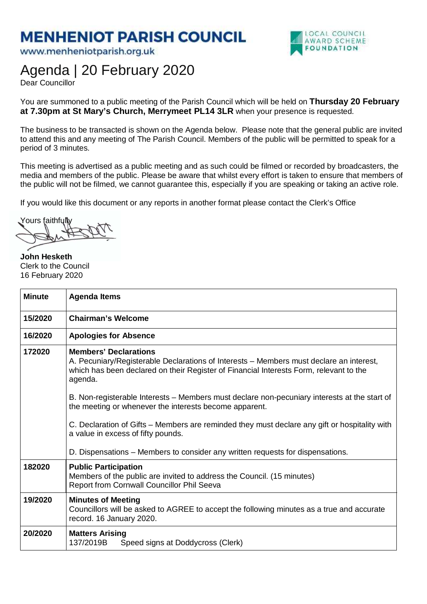## **MENHENIOT PARISH COUNCIL**

www.menheniotparish.org.uk



## Agenda | 20 February 2020

Dear Councillor

You are summoned to a public meeting of the Parish Council which will be held on **Thursday 20 February at 7.30pm at St Mary's Church, Merrymeet PL14 3LR** when your presence is requested.

The business to be transacted is shown on the Agenda below. Please note that the general public are invited to attend this and any meeting of The Parish Council. Members of the public will be permitted to speak for a period of 3 minutes.

This meeting is advertised as a public meeting and as such could be filmed or recorded by broadcasters, the media and members of the public. Please be aware that whilst every effort is taken to ensure that members of the public will not be filmed, we cannot guarantee this, especially if you are speaking or taking an active role.

If you would like this document or any reports in another format please contact the Clerk's Office

Yours faithfully

**John Hesketh**  Clerk to the Council 16 February 2020

| <b>Minute</b> | <b>Agenda Items</b>                                                                                                                                                                                                          |
|---------------|------------------------------------------------------------------------------------------------------------------------------------------------------------------------------------------------------------------------------|
| 15/2020       | <b>Chairman's Welcome</b>                                                                                                                                                                                                    |
| 16/2020       | <b>Apologies for Absence</b>                                                                                                                                                                                                 |
| 172020        | <b>Members' Declarations</b><br>A. Pecuniary/Registerable Declarations of Interests – Members must declare an interest,<br>which has been declared on their Register of Financial Interests Form, relevant to the<br>agenda. |
|               | B. Non-registerable Interests – Members must declare non-pecuniary interests at the start of<br>the meeting or whenever the interests become apparent.                                                                       |
|               | C. Declaration of Gifts – Members are reminded they must declare any gift or hospitality with<br>a value in excess of fifty pounds.                                                                                          |
|               | D. Dispensations – Members to consider any written requests for dispensations.                                                                                                                                               |
| 182020        | <b>Public Participation</b><br>Members of the public are invited to address the Council. (15 minutes)<br>Report from Cornwall Councillor Phil Seeva                                                                          |
| 19/2020       | <b>Minutes of Meeting</b><br>Councillors will be asked to AGREE to accept the following minutes as a true and accurate<br>record. 16 January 2020.                                                                           |
| 20/2020       | <b>Matters Arising</b><br>137/2019B<br>Speed signs at Doddycross (Clerk)                                                                                                                                                     |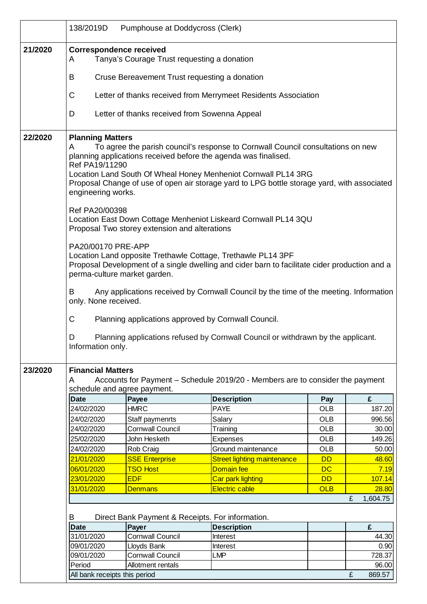|         | 138/2019D                                                                                                                                                                                                                                                                                                                                                                                                                                                                                                                                                                                                                                                                                                                                                                                                                                                                                                                                                                                                                                                | Pumphouse at Doddycross (Clerk)               |                                    |            |               |  |
|---------|----------------------------------------------------------------------------------------------------------------------------------------------------------------------------------------------------------------------------------------------------------------------------------------------------------------------------------------------------------------------------------------------------------------------------------------------------------------------------------------------------------------------------------------------------------------------------------------------------------------------------------------------------------------------------------------------------------------------------------------------------------------------------------------------------------------------------------------------------------------------------------------------------------------------------------------------------------------------------------------------------------------------------------------------------------|-----------------------------------------------|------------------------------------|------------|---------------|--|
| 21/2020 | <b>Correspondence received</b><br>Tanya's Courage Trust requesting a donation<br>A                                                                                                                                                                                                                                                                                                                                                                                                                                                                                                                                                                                                                                                                                                                                                                                                                                                                                                                                                                       |                                               |                                    |            |               |  |
|         | Cruse Bereavement Trust requesting a donation<br>В                                                                                                                                                                                                                                                                                                                                                                                                                                                                                                                                                                                                                                                                                                                                                                                                                                                                                                                                                                                                       |                                               |                                    |            |               |  |
|         | С<br>Letter of thanks received from Merrymeet Residents Association                                                                                                                                                                                                                                                                                                                                                                                                                                                                                                                                                                                                                                                                                                                                                                                                                                                                                                                                                                                      |                                               |                                    |            |               |  |
|         | D                                                                                                                                                                                                                                                                                                                                                                                                                                                                                                                                                                                                                                                                                                                                                                                                                                                                                                                                                                                                                                                        | Letter of thanks received from Sowenna Appeal |                                    |            |               |  |
| 22/2020 | <b>Planning Matters</b><br>To agree the parish council's response to Cornwall Council consultations on new<br>A<br>planning applications received before the agenda was finalised.<br>Ref PA19/11290<br>Location Land South Of Wheal Honey Menheniot Cornwall PL14 3RG<br>Proposal Change of use of open air storage yard to LPG bottle storage yard, with associated<br>engineering works.<br>Ref PA20/00398<br>Location East Down Cottage Menheniot Liskeard Cornwall PL14 3QU<br>Proposal Two storey extension and alterations<br>PA20/00170 PRE-APP<br>Location Land opposite Trethawle Cottage, Trethawle PL14 3PF<br>Proposal Development of a single dwelling and cider barn to facilitate cider production and a<br>perma-culture market garden.<br>Any applications received by Cornwall Council by the time of the meeting. Information<br>В<br>only. None received.<br>С<br>Planning applications approved by Cornwall Council.<br>Planning applications refused by Cornwall Council or withdrawn by the applicant.<br>D<br>Information only. |                                               |                                    |            |               |  |
| 23/2020 | <b>Financial Matters</b><br>Accounts for Payment - Schedule 2019/20 - Members are to consider the payment<br>A                                                                                                                                                                                                                                                                                                                                                                                                                                                                                                                                                                                                                                                                                                                                                                                                                                                                                                                                           |                                               |                                    |            |               |  |
|         |                                                                                                                                                                                                                                                                                                                                                                                                                                                                                                                                                                                                                                                                                                                                                                                                                                                                                                                                                                                                                                                          | schedule and agree payment.                   |                                    |            |               |  |
|         | <b>Date</b>                                                                                                                                                                                                                                                                                                                                                                                                                                                                                                                                                                                                                                                                                                                                                                                                                                                                                                                                                                                                                                              | Payee                                         | <b>Description</b>                 | Pay        | £             |  |
|         | 24/02/2020                                                                                                                                                                                                                                                                                                                                                                                                                                                                                                                                                                                                                                                                                                                                                                                                                                                                                                                                                                                                                                               | <b>HMRC</b>                                   | <b>PAYE</b>                        | <b>OLB</b> | 187.20        |  |
|         | 24/02/2020                                                                                                                                                                                                                                                                                                                                                                                                                                                                                                                                                                                                                                                                                                                                                                                                                                                                                                                                                                                                                                               | Staff paymenrts                               | Salary                             | <b>OLB</b> | 996.56        |  |
|         | 24/02/2020                                                                                                                                                                                                                                                                                                                                                                                                                                                                                                                                                                                                                                                                                                                                                                                                                                                                                                                                                                                                                                               | <b>Cornwall Council</b>                       | Training                           | <b>OLB</b> | 30.00         |  |
|         | 25/02/2020                                                                                                                                                                                                                                                                                                                                                                                                                                                                                                                                                                                                                                                                                                                                                                                                                                                                                                                                                                                                                                               | John Hesketh                                  | <b>Expenses</b>                    | <b>OLB</b> | 149.26        |  |
|         | 24/02/2020                                                                                                                                                                                                                                                                                                                                                                                                                                                                                                                                                                                                                                                                                                                                                                                                                                                                                                                                                                                                                                               | Rob Craig                                     | Ground maintenance                 | <b>OLB</b> | 50.00         |  |
|         | 21/01/2020                                                                                                                                                                                                                                                                                                                                                                                                                                                                                                                                                                                                                                                                                                                                                                                                                                                                                                                                                                                                                                               | <b>SSE Enterprise</b>                         | <b>Street lighting maintenance</b> | <b>DD</b>  | 48.60         |  |
|         | 06/01/2020                                                                                                                                                                                                                                                                                                                                                                                                                                                                                                                                                                                                                                                                                                                                                                                                                                                                                                                                                                                                                                               | <b>TSO Host</b>                               | <b>Domain fee</b>                  | <b>DC</b>  | 7.19          |  |
|         | 23/01/2020                                                                                                                                                                                                                                                                                                                                                                                                                                                                                                                                                                                                                                                                                                                                                                                                                                                                                                                                                                                                                                               | <b>EDF</b>                                    | Car park lighting                  | <b>DD</b>  | <b>107.14</b> |  |
|         | 31/01/2020                                                                                                                                                                                                                                                                                                                                                                                                                                                                                                                                                                                                                                                                                                                                                                                                                                                                                                                                                                                                                                               | <b>Denmans</b>                                | <b>Electric cable</b>              | <b>OLB</b> | 28.80         |  |
|         |                                                                                                                                                                                                                                                                                                                                                                                                                                                                                                                                                                                                                                                                                                                                                                                                                                                                                                                                                                                                                                                          |                                               |                                    |            | 1,604.75<br>£ |  |
|         | Direct Bank Payment & Receipts. For information.<br>В                                                                                                                                                                                                                                                                                                                                                                                                                                                                                                                                                                                                                                                                                                                                                                                                                                                                                                                                                                                                    |                                               |                                    |            |               |  |
|         | <b>Date</b>                                                                                                                                                                                                                                                                                                                                                                                                                                                                                                                                                                                                                                                                                                                                                                                                                                                                                                                                                                                                                                              | Payer                                         | <b>Description</b>                 |            | £             |  |
|         | 31/01/2020                                                                                                                                                                                                                                                                                                                                                                                                                                                                                                                                                                                                                                                                                                                                                                                                                                                                                                                                                                                                                                               | <b>Cornwall Council</b>                       | Interest                           |            | 44.30         |  |
|         | 09/01/2020                                                                                                                                                                                                                                                                                                                                                                                                                                                                                                                                                                                                                                                                                                                                                                                                                                                                                                                                                                                                                                               | Lloyds Bank                                   | Interest                           |            | 0.90          |  |
|         | 09/01/2020                                                                                                                                                                                                                                                                                                                                                                                                                                                                                                                                                                                                                                                                                                                                                                                                                                                                                                                                                                                                                                               | <b>Cornwall Council</b>                       | <b>LMP</b>                         |            | 728.37        |  |
|         | Period                                                                                                                                                                                                                                                                                                                                                                                                                                                                                                                                                                                                                                                                                                                                                                                                                                                                                                                                                                                                                                                   | Allotment rentals                             |                                    |            | 96.00         |  |
|         | All bank receipts this period                                                                                                                                                                                                                                                                                                                                                                                                                                                                                                                                                                                                                                                                                                                                                                                                                                                                                                                                                                                                                            |                                               |                                    |            | £<br>869.57   |  |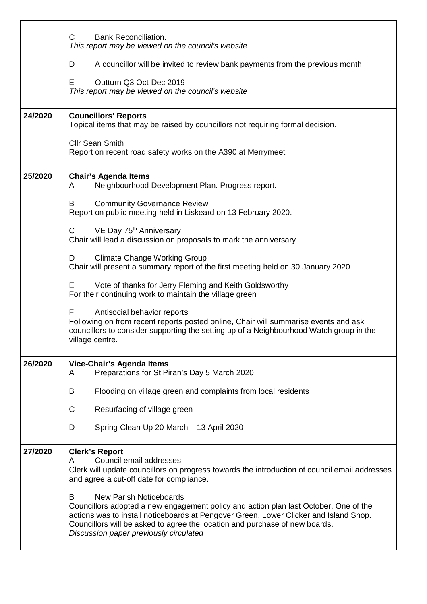|         | C<br><b>Bank Reconciliation.</b><br>This report may be viewed on the council's website                                                                                                                                                                                                                                                        |  |  |  |  |
|---------|-----------------------------------------------------------------------------------------------------------------------------------------------------------------------------------------------------------------------------------------------------------------------------------------------------------------------------------------------|--|--|--|--|
|         | A councillor will be invited to review bank payments from the previous month<br>D                                                                                                                                                                                                                                                             |  |  |  |  |
|         | Outturn Q3 Oct-Dec 2019<br>Е<br>This report may be viewed on the council's website                                                                                                                                                                                                                                                            |  |  |  |  |
| 24/2020 | <b>Councillors' Reports</b><br>Topical items that may be raised by councillors not requiring formal decision.                                                                                                                                                                                                                                 |  |  |  |  |
|         | <b>Cllr Sean Smith</b><br>Report on recent road safety works on the A390 at Merrymeet                                                                                                                                                                                                                                                         |  |  |  |  |
| 25/2020 | <b>Chair's Agenda Items</b><br>Neighbourhood Development Plan. Progress report.<br>A                                                                                                                                                                                                                                                          |  |  |  |  |
|         | <b>Community Governance Review</b><br>B<br>Report on public meeting held in Liskeard on 13 February 2020.                                                                                                                                                                                                                                     |  |  |  |  |
|         | VE Day 75 <sup>th</sup> Anniversary<br>C<br>Chair will lead a discussion on proposals to mark the anniversary                                                                                                                                                                                                                                 |  |  |  |  |
|         | <b>Climate Change Working Group</b><br>D<br>Chair will present a summary report of the first meeting held on 30 January 2020                                                                                                                                                                                                                  |  |  |  |  |
|         | Vote of thanks for Jerry Fleming and Keith Goldsworthy<br>E.<br>For their continuing work to maintain the village green                                                                                                                                                                                                                       |  |  |  |  |
|         | F<br>Antisocial behavior reports<br>Following on from recent reports posted online, Chair will summarise events and ask<br>councillors to consider supporting the setting up of a Neighbourhood Watch group in the<br>village centre.                                                                                                         |  |  |  |  |
| 26/2020 | Vice-Chair's Agenda Items<br>Preparations for St Piran's Day 5 March 2020<br>A                                                                                                                                                                                                                                                                |  |  |  |  |
|         | B<br>Flooding on village green and complaints from local residents                                                                                                                                                                                                                                                                            |  |  |  |  |
|         | C<br>Resurfacing of village green                                                                                                                                                                                                                                                                                                             |  |  |  |  |
|         | D<br>Spring Clean Up 20 March - 13 April 2020                                                                                                                                                                                                                                                                                                 |  |  |  |  |
| 27/2020 | <b>Clerk's Report</b><br>Council email addresses<br>A<br>Clerk will update councillors on progress towards the introduction of council email addresses<br>and agree a cut-off date for compliance.                                                                                                                                            |  |  |  |  |
|         | B<br><b>New Parish Noticeboards</b><br>Councillors adopted a new engagement policy and action plan last October. One of the<br>actions was to install noticeboards at Pengover Green, Lower Clicker and Island Shop.<br>Councillors will be asked to agree the location and purchase of new boards.<br>Discussion paper previously circulated |  |  |  |  |